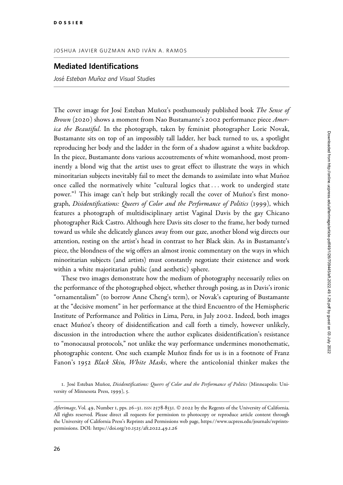## JOSHUA JAVIER GUZMAN AND IVÁN A. RAMOS

## Mediated Identifications

José Esteban Muñoz and Visual Studies

The cover image for José Esteban Muñoz's posthumously published book The Sense of Brown (2020) shows a moment from Nao Bustamante's 2002 performance piece *Amer*ica the Beautiful. In the photograph, taken by feminist photographer Lorie Novak, Bustamante sits on top of an impossibly tall ladder, her back turned to us, a spotlight reproducing her body and the ladder in the form of a shadow against a white backdrop. In the piece, Bustamante dons various accoutrements of white womanhood, most prominently a blond wig that the artist uses to great effect to illustrate the ways in which minoritarian subjects inevitably fail to meet the demands to assimilate into what Muñoz once called the normatively white "cultural logics that ... work to undergird state power."<sup>1</sup> This image can't help but strikingly recall the cover of Muñoz's first monograph, Disidentifications: Queers of Color and the Performance of Politics (1999), which features a photograph of multidisciplinary artist Vaginal Davis by the gay Chicano photographer Rick Castro. Although here Davis sits closer to the frame, her body turned toward us while she delicately glances away from our gaze, another blond wig directs our attention, resting on the artist's head in contrast to her Black skin. As in Bustamante's piece, the blondness of the wig offers an almost ironic commentary on the ways in which minoritarian subjects (and artists) must constantly negotiate their existence and work within a white majoritarian public (and aesthetic) sphere.

These two images demonstrate how the medium of photography necessarily relies on the performance of the photographed object, whether through posing, as in Davis's ironic "ornamentalism" (to borrow Anne Cheng's term), or Novak's capturing of Bustamante at the "decisive moment" in her performance at the third Encuentro of the Hemispheric Institute of Performance and Politics in Lima, Peru, in July 2002. Indeed, both images enact Muñoz's theory of disidentification and call forth a timely, however unlikely, discussion in the introduction where the author explicates disidentification's resistance to "monocausal protocols," not unlike the way performance undermines monothematic, photographic content. One such example Muñoz finds for us is in a footnote of Franz Fanon's 1952 Black Skin, White Masks, where the anticolonial thinker makes the

<sup>1.</sup> José Esteban Muñoz, Disidentifications: Queers of Color and the Performance of Politics (Minneapolis: University of Minnesota Press, 1999), 5.

Afterimage, Vol. 49, Number 1, pps. 26-31. ISSN 2578-8531. © 2022 by the Regents of the University of California. All rights reserved. Please direct all requests for permission to photocopy or reproduce article content through the University of California Press's Reprints and Permissions web page, [https://www.ucpress.edu/journals/reprints](https://www.ucpress.edu/journals/reprints-permissions)[permissions.](https://www.ucpress.edu/journals/reprints-permissions) [DOI: https://doi.org/](https://doi.org/10.1525/aft.2022.49.1.26)10.1525/aft.2022.49.1.26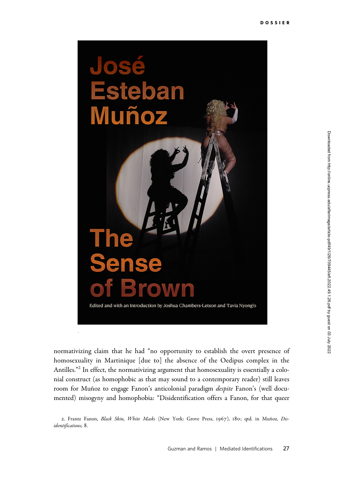

normativizing claim that he had "no opportunity to establish the overt presence of homosexuality in Martinique [due to] the absence of the Oedipus complex in the Antilles."<sup>2</sup> In effect, the normativizing argument that homosexuality is essentially a colonial construct (as homophobic as that may sound to a contemporary reader) still leaves room for Muñoz to engage Fanon's anticolonial paradigm *despite* Fanon's (well documented) misogyny and homophobia: "Disidentification offers a Fanon, for that queer

<sup>2.</sup> Frantz Fanon, Black Skin, White Masks (New York: Grove Press, 1967), 180; qtd. in Muñoz, Disidentifications, 8.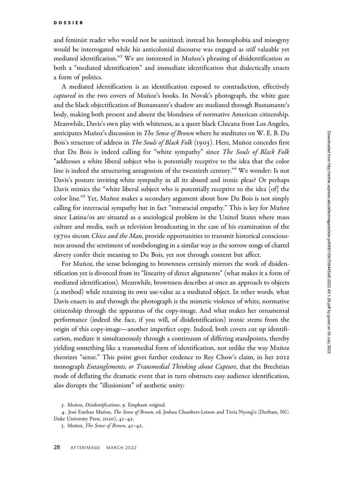and feminist reader who would not be sanitized; instead his homophobia and misogyny would be interrogated while his anticolonial discourse was engaged as *still* valuable yet mediated identification."<sup>3</sup> We are interested in Muñoz's phrasing of disidentification as both a "mediated identification" and immediate identification that dialectically enacts a form of politics.

A mediated identification is an identification exposed to contradiction, effectively captured in the two covers of Muñoz's books. In Novak's photograph, the white gaze and the black objectification of Bustamante's shadow are mediated through Bustamante's body, making both present and absent the blondness of normative American citizenship. Meanwhile, Davis's own play with whiteness, as a queer black Chicana from Los Angeles, anticipates Muñoz's discussion in *The Sense of Brown* where he meditates on W. E. B. Du Bois's structure of address in The Souls of Black Folk (1903). Here, Muñoz concedes first that Du Bois is indeed calling for "white sympathy" since The Souls of Black Folk "addresses a white liberal subject who is potentially receptive to the idea that the color line is indeed the structuring antagonism of the twentieth century."<sup>4</sup> We wonder: Is not Davis's posture inviting white sympathy in all its absurd and ironic pleas? Or perhaps Davis mimics the "white liberal subject who is potentially receptive to the idea [of] the color line."<sup>5</sup> Yet, Muñoz makes a secondary argument about how Du Bois is not simply calling for interracial sympathy but in fact "intraracial empathy." This is key for Muñoz since Latina/os are situated as a sociological problem in the United States where mass culture and media, such as television broadcasting in the case of his examination of the 1970s sitcom *Chico and the Man*, provide opportunities to transmit historical consciousness around the sentiment of nonbelonging in a similar way as the sorrow songs of chattel slavery confer their meaning to Du Bois, yet not through content but affect.

For Muñoz, the sense belonging to brownness certainly mirrors the work of disidentification yet is divorced from its "linearity of direct alignments" (what makes it a form of mediated identification). Meanwhile, brownness describes at once an approach to objects (a method) while retaining its own use-value as a mediated object. In other words, what Davis enacts in and through the photograph is the mimetic violence of white, normative citizenship through the apparatus of the copy-image. And what makes her ornamental performance (indeed the face, if you will, of disidentification) ironic stems from the origin of this copy-image—another imperfect copy. Indeed, both covers cut up identification, mediate it simultaneously through a continuum of differing standpoints, thereby yielding something like a transmedial form of identification, not unlike the way Muñoz theorizes "sense." This point gives further credence to Rey Chow's claim, in her 2012 monograph *Entanglements, or Transmedial Thinking about Capture*, that the Brechtian mode of deflating the dramatic event that in turn obstructs easy audience identification, also disrupts the "illusionism" of aesthetic unity:

<sup>3.</sup> Muñoz, Disidentifications, 9. Emphasis original.

<sup>4.</sup> José Esteban Muñoz, The Sense of Brown, ed. Joshua Chambers-Letson and Tavia Nyong'o (Durham, NC: Duke University Press, 2020), 41–42.

<sup>5.</sup> Muñoz, The Sense of Brown,  $4I-42$ .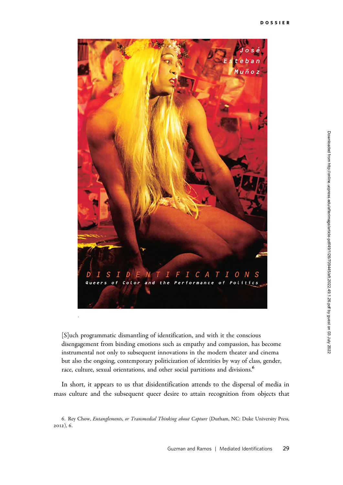

[S]uch programmatic dismantling of identification, and with it the conscious disengagement from binding emotions such as empathy and compassion, has become instrumental not only to subsequent innovations in the modern theater and cinema but also the ongoing, contemporary politicization of identities by way of class, gender, race, culture, sexual orientations, and other social partitions and divisions.<sup>6</sup>

In short, it appears to us that disidentification attends to the dispersal of media in mass culture and the subsequent queer desire to attain recognition from objects that

<sup>6.</sup> Rey Chow, Entanglements, or Transmedial Thinking about Capture (Durham, NC: Duke University Press, 2012), 6.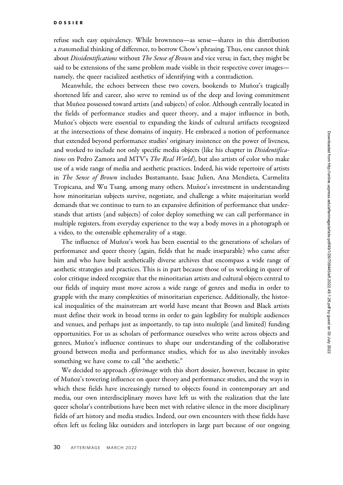refuse such easy equivalency. While brownness—as sense—shares in this distribution a transmedial thinking of difference, to borrow Chow's phrasing. Thus, one cannot think about *Dissidentifications* without *The Sense of Brown* and vice versa; in fact, they might be said to be extensions of the same problem made visible in their respective cover images namely, the queer racialized aesthetics of identifying with a contradiction.

Meanwhile, the echoes between these two covers, bookends to Muñoz's tragically shortened life and career, also serve to remind us of the deep and loving commitment that Muñoz possessed toward artists (and subjects) of color. Although centrally located in the fields of performance studies and queer theory, and a major influence in both, Muñoz's objects were essential to expanding the kinds of cultural artifacts recognized at the intersections of these domains of inquiry. He embraced a notion of performance that extended beyond performance studies' originary insistence on the power of liveness, and worked to include not only specific media objects (like his chapter in *Disidentifica*tions on Pedro Zamora and MTV's The Real World), but also artists of color who make use of a wide range of media and aesthetic practices. Indeed, his wide repertoire of artists in The Sense of Brown includes Bustamante, Isaac Julien, Ana Mendieta, Carmelita Tropicana, and Wu Tsang, among many others. Muñoz's investment in understanding how minoritarian subjects survive, negotiate, and challenge a white majoritarian world demands that we continue to turn to an expansive definition of performance that understands that artists (and subjects) of color deploy something we can call performance in multiple registers, from everyday experience to the way a body moves in a photograph or a video, to the ostensible ephemerality of a stage.

The influence of Muñoz's work has been essential to the generations of scholars of performance and queer theory (again, fields that he made inseparable) who came after him and who have built aesthetically diverse archives that encompass a wide range of aesthetic strategies and practices. This is in part because those of us working in queer of color critique indeed recognize that the minoritarian artists and cultural objects central to our fields of inquiry must move across a wide range of genres and media in order to grapple with the many complexities of minoritarian experience. Additionally, the historical inequalities of the mainstream art world have meant that Brown and Black artists must define their work in broad terms in order to gain legibility for multiple audiences and venues, and perhaps just as importantly, to tap into multiple (and limited) funding opportunities. For us as scholars of performance ourselves who write across objects and genres, Muñoz's influence continues to shape our understanding of the collaborative ground between media and performance studies, which for us also inevitably invokes something we have come to call "the aesthetic."

We decided to approach *Afterimage* with this short dossier, however, because in spite of Mun˜oz's towering influence on queer theory and performance studies, and the ways in which these fields have increasingly turned to objects found in contemporary art and media, our own interdisciplinary moves have left us with the realization that the late queer scholar's contributions have been met with relative silence in the more disciplinary fields of art history and media studies. Indeed, our own encounters with these fields have often left us feeling like outsiders and interlopers in large part because of our ongoing